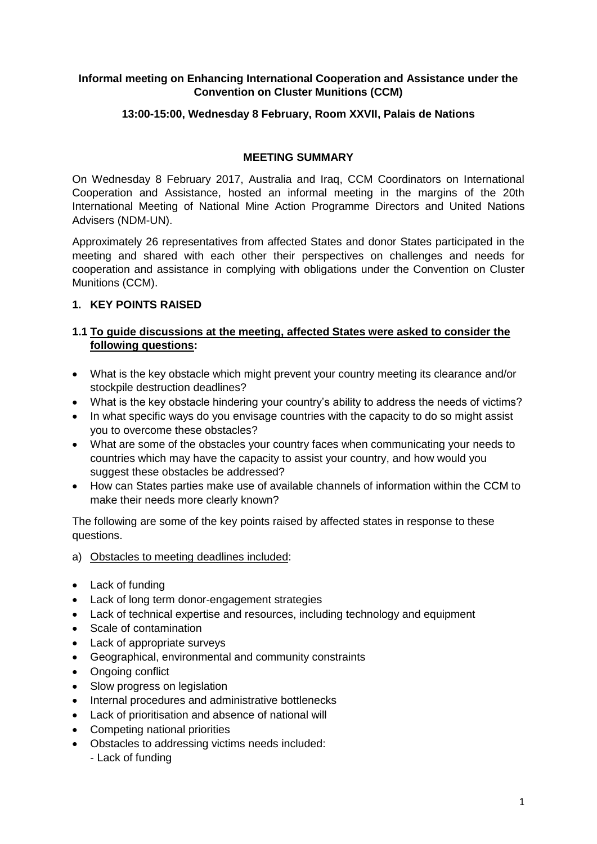### **Informal meeting on Enhancing International Cooperation and Assistance under the Convention on Cluster Munitions (CCM)**

### **13:00-15:00, Wednesday 8 February, Room XXVII, Palais de Nations**

#### **MEETING SUMMARY**

On Wednesday 8 February 2017, Australia and Iraq, CCM Coordinators on International Cooperation and Assistance, hosted an informal meeting in the margins of the 20th International Meeting of National Mine Action Programme Directors and United Nations Advisers (NDM-UN).

Approximately 26 representatives from affected States and donor States participated in the meeting and shared with each other their perspectives on challenges and needs for cooperation and assistance in complying with obligations under the Convention on Cluster Munitions (CCM).

# **1. KEY POINTS RAISED**

#### **1.1 To guide discussions at the meeting, affected States were asked to consider the following questions:**

- What is the key obstacle which might prevent your country meeting its clearance and/or stockpile destruction deadlines?
- What is the key obstacle hindering your country's ability to address the needs of victims?
- In what specific ways do you envisage countries with the capacity to do so might assist you to overcome these obstacles?
- What are some of the obstacles your country faces when communicating your needs to countries which may have the capacity to assist your country, and how would you suggest these obstacles be addressed?
- How can States parties make use of available channels of information within the CCM to make their needs more clearly known?

The following are some of the key points raised by affected states in response to these questions.

- a) Obstacles to meeting deadlines included:
- Lack of funding
- Lack of long term donor-engagement strategies
- Lack of technical expertise and resources, including technology and equipment
- Scale of contamination
- Lack of appropriate surveys
- Geographical, environmental and community constraints
- Ongoing conflict
- Slow progress on legislation
- Internal procedures and administrative bottlenecks
- Lack of prioritisation and absence of national will
- Competing national priorities
- Obstacles to addressing victims needs included: - Lack of funding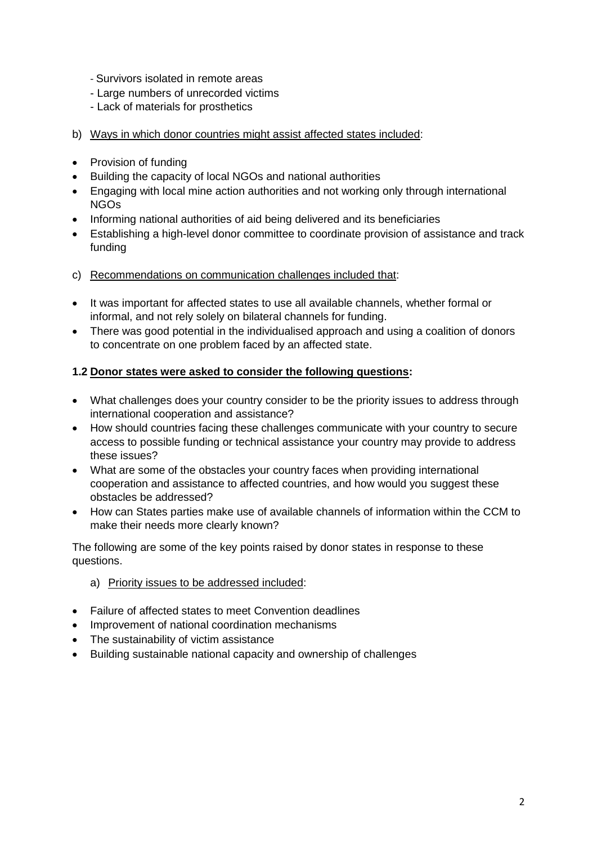- Survivors isolated in remote areas
- Large numbers of unrecorded victims
- Lack of materials for prosthetics
- b) Ways in which donor countries might assist affected states included:
- Provision of funding
- Building the capacity of local NGOs and national authorities
- Engaging with local mine action authorities and not working only through international NGOs
- Informing national authorities of aid being delivered and its beneficiaries
- Establishing a high-level donor committee to coordinate provision of assistance and track funding
- c) Recommendations on communication challenges included that:
- It was important for affected states to use all available channels, whether formal or informal, and not rely solely on bilateral channels for funding.
- There was good potential in the individualised approach and using a coalition of donors to concentrate on one problem faced by an affected state.

#### **1.2 Donor states were asked to consider the following questions:**

- What challenges does your country consider to be the priority issues to address through international cooperation and assistance?
- How should countries facing these challenges communicate with your country to secure access to possible funding or technical assistance your country may provide to address these issues?
- What are some of the obstacles your country faces when providing international cooperation and assistance to affected countries, and how would you suggest these obstacles be addressed?
- How can States parties make use of available channels of information within the CCM to make their needs more clearly known?

The following are some of the key points raised by donor states in response to these questions.

#### a) Priority issues to be addressed included:

- Failure of affected states to meet Convention deadlines
- Improvement of national coordination mechanisms
- The sustainability of victim assistance
- Building sustainable national capacity and ownership of challenges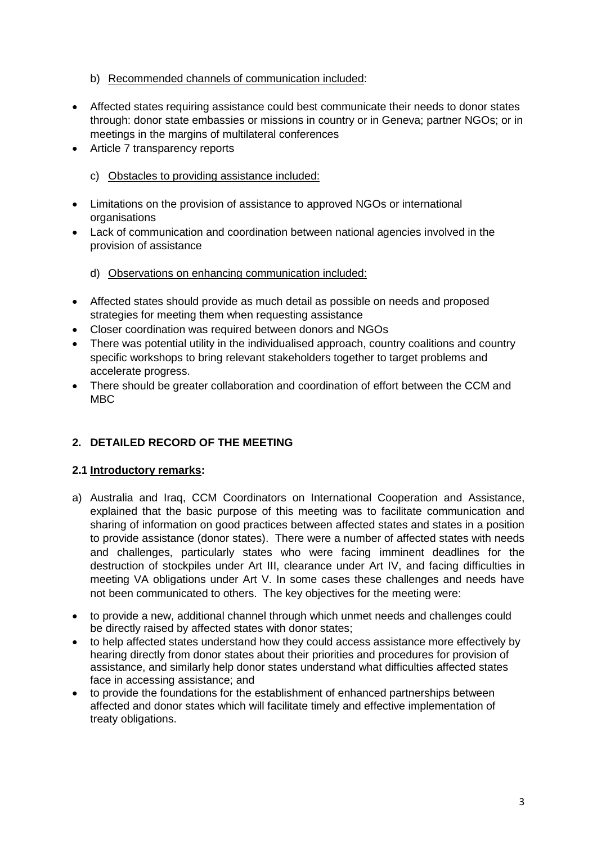### b) Recommended channels of communication included:

- Affected states requiring assistance could best communicate their needs to donor states through: donor state embassies or missions in country or in Geneva; partner NGOs; or in meetings in the margins of multilateral conferences
- Article 7 transparency reports
	- c) Obstacles to providing assistance included:
- Limitations on the provision of assistance to approved NGOs or international organisations
- Lack of communication and coordination between national agencies involved in the provision of assistance
	- d) Observations on enhancing communication included:
- Affected states should provide as much detail as possible on needs and proposed strategies for meeting them when requesting assistance
- Closer coordination was required between donors and NGOs
- There was potential utility in the individualised approach, country coalitions and country specific workshops to bring relevant stakeholders together to target problems and accelerate progress.
- There should be greater collaboration and coordination of effort between the CCM and MBC

# **2. DETAILED RECORD OF THE MEETING**

# **2.1 Introductory remarks:**

- a) Australia and Iraq, CCM Coordinators on International Cooperation and Assistance, explained that the basic purpose of this meeting was to facilitate communication and sharing of information on good practices between affected states and states in a position to provide assistance (donor states). There were a number of affected states with needs and challenges, particularly states who were facing imminent deadlines for the destruction of stockpiles under Art III, clearance under Art IV, and facing difficulties in meeting VA obligations under Art V. In some cases these challenges and needs have not been communicated to others. The key objectives for the meeting were:
- to provide a new, additional channel through which unmet needs and challenges could be directly raised by affected states with donor states;
- to help affected states understand how they could access assistance more effectively by hearing directly from donor states about their priorities and procedures for provision of assistance, and similarly help donor states understand what difficulties affected states face in accessing assistance; and
- to provide the foundations for the establishment of enhanced partnerships between affected and donor states which will facilitate timely and effective implementation of treaty obligations.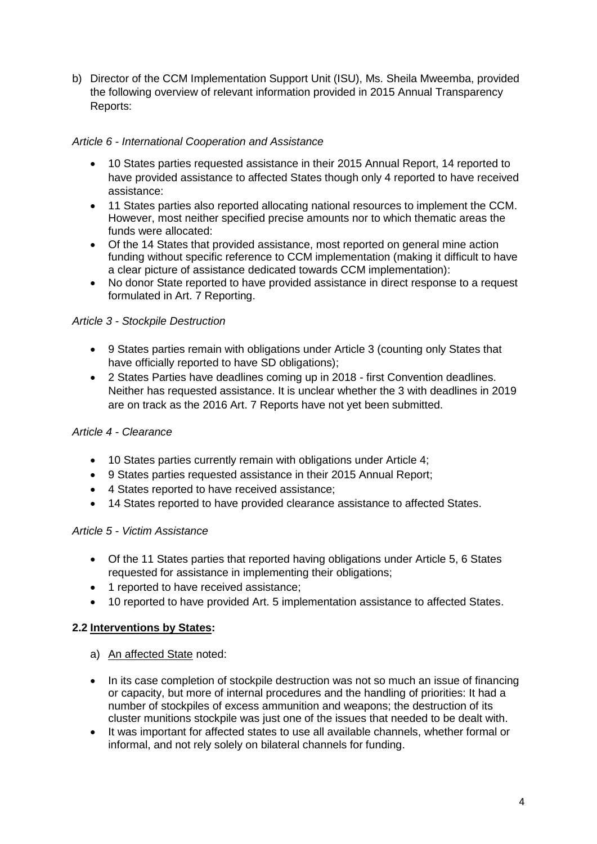b) Director of the CCM Implementation Support Unit (ISU), Ms. Sheila Mweemba, provided the following overview of relevant information provided in 2015 Annual Transparency Reports:

# *Article 6 - International Cooperation and Assistance*

- 10 States parties requested assistance in their 2015 Annual Report, 14 reported to have provided assistance to affected States though only 4 reported to have received assistance:
- 11 States parties also reported allocating national resources to implement the CCM. However, most neither specified precise amounts nor to which thematic areas the funds were allocated:
- Of the 14 States that provided assistance, most reported on general mine action funding without specific reference to CCM implementation (making it difficult to have a clear picture of assistance dedicated towards CCM implementation):
- No donor State reported to have provided assistance in direct response to a request formulated in Art. 7 Reporting.

# *Article 3 - Stockpile Destruction*

- 9 States parties remain with obligations under Article 3 (counting only States that have officially reported to have SD obligations);
- 2 States Parties have deadlines coming up in 2018 first Convention deadlines. Neither has requested assistance. It is unclear whether the 3 with deadlines in 2019 are on track as the 2016 Art. 7 Reports have not yet been submitted.

# *Article 4 - Clearance*

- 10 States parties currently remain with obligations under Article 4;
- 9 States parties requested assistance in their 2015 Annual Report;
- 4 States reported to have received assistance:
- 14 States reported to have provided clearance assistance to affected States.

# *Article 5 - Victim Assistance*

- Of the 11 States parties that reported having obligations under Article 5, 6 States requested for assistance in implementing their obligations;
- 1 reported to have received assistance:
- 10 reported to have provided Art. 5 implementation assistance to affected States.

# **2.2 Interventions by States:**

- a) An affected State noted:
- In its case completion of stockpile destruction was not so much an issue of financing or capacity, but more of internal procedures and the handling of priorities: It had a number of stockpiles of excess ammunition and weapons; the destruction of its cluster munitions stockpile was just one of the issues that needed to be dealt with.
- It was important for affected states to use all available channels, whether formal or informal, and not rely solely on bilateral channels for funding.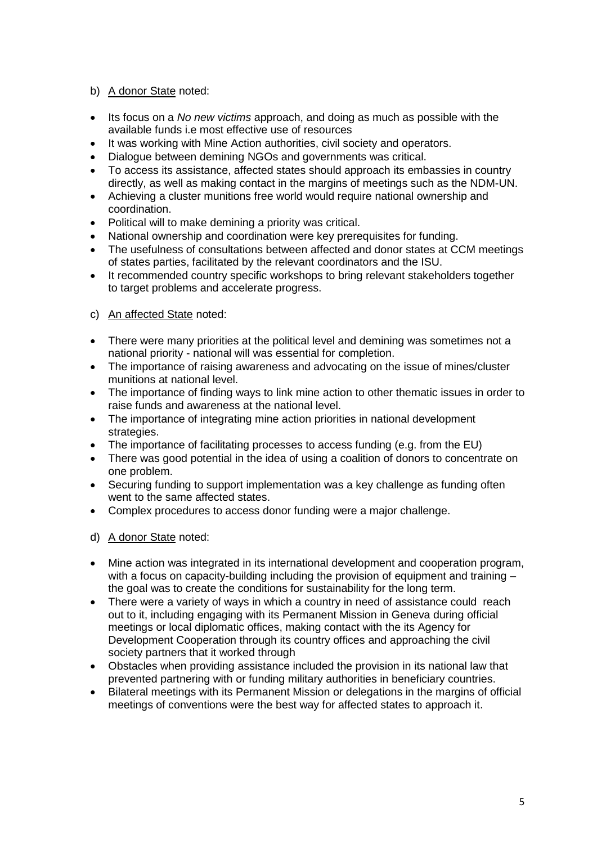# b) A donor State noted:

- Its focus on a *No new victims* approach, and doing as much as possible with the available funds i.e most effective use of resources
- It was working with Mine Action authorities, civil society and operators.
- Dialogue between demining NGOs and governments was critical.
- To access its assistance, affected states should approach its embassies in country directly, as well as making contact in the margins of meetings such as the NDM-UN.
- Achieving a cluster munitions free world would require national ownership and coordination.
- Political will to make demining a priority was critical.
- National ownership and coordination were key prerequisites for funding.
- The usefulness of consultations between affected and donor states at CCM meetings of states parties, facilitated by the relevant coordinators and the ISU.
- It recommended country specific workshops to bring relevant stakeholders together to target problems and accelerate progress.

#### c) An affected State noted:

- There were many priorities at the political level and demining was sometimes not a national priority - national will was essential for completion.
- The importance of raising awareness and advocating on the issue of mines/cluster munitions at national level.
- The importance of finding ways to link mine action to other thematic issues in order to raise funds and awareness at the national level.
- The importance of integrating mine action priorities in national development strategies.
- The importance of facilitating processes to access funding (e.g. from the EU)
- There was good potential in the idea of using a coalition of donors to concentrate on one problem.
- Securing funding to support implementation was a key challenge as funding often went to the same affected states.
- Complex procedures to access donor funding were a major challenge.
- d) A donor State noted:
- Mine action was integrated in its international development and cooperation program, with a focus on capacity-building including the provision of equipment and training – the goal was to create the conditions for sustainability for the long term.
- There were a variety of ways in which a country in need of assistance could reach out to it, including engaging with its Permanent Mission in Geneva during official meetings or local diplomatic offices, making contact with the its Agency for Development Cooperation through its country offices and approaching the civil society partners that it worked through
- Obstacles when providing assistance included the provision in its national law that prevented partnering with or funding military authorities in beneficiary countries.
- Bilateral meetings with its Permanent Mission or delegations in the margins of official meetings of conventions were the best way for affected states to approach it.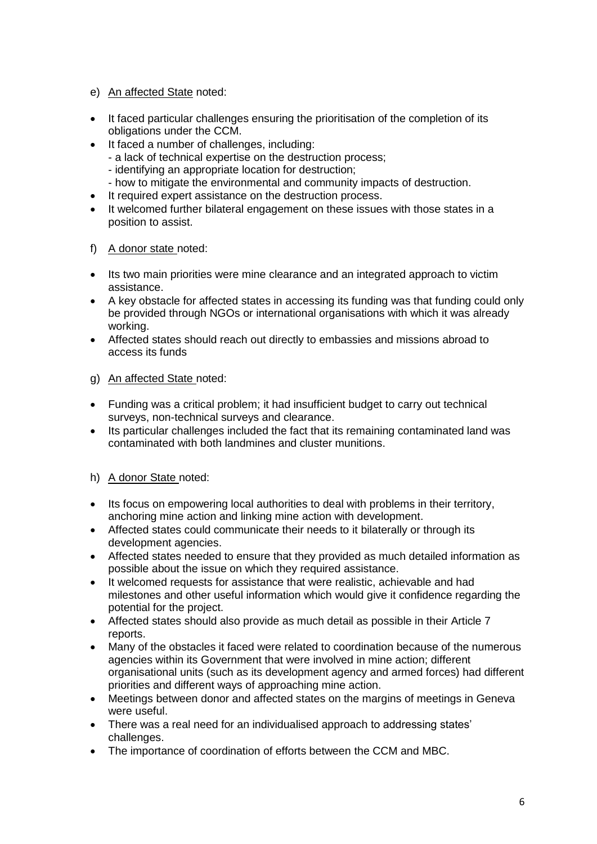- e) An affected State noted:
- It faced particular challenges ensuring the prioritisation of the completion of its obligations under the CCM.
- It faced a number of challenges, including:
	- a lack of technical expertise on the destruction process;
	- identifying an appropriate location for destruction;
	- how to mitigate the environmental and community impacts of destruction.
- It required expert assistance on the destruction process.
- It welcomed further bilateral engagement on these issues with those states in a position to assist.
- f) A donor state noted:
- Its two main priorities were mine clearance and an integrated approach to victim assistance.
- A key obstacle for affected states in accessing its funding was that funding could only be provided through NGOs or international organisations with which it was already working.
- Affected states should reach out directly to embassies and missions abroad to access its funds
- g) An affected State noted:
- Funding was a critical problem; it had insufficient budget to carry out technical surveys, non-technical surveys and clearance.
- Its particular challenges included the fact that its remaining contaminated land was contaminated with both landmines and cluster munitions.
- h) A donor State noted:
- Its focus on empowering local authorities to deal with problems in their territory, anchoring mine action and linking mine action with development.
- Affected states could communicate their needs to it bilaterally or through its development agencies.
- Affected states needed to ensure that they provided as much detailed information as possible about the issue on which they required assistance.
- It welcomed requests for assistance that were realistic, achievable and had milestones and other useful information which would give it confidence regarding the potential for the project.
- Affected states should also provide as much detail as possible in their Article 7 reports.
- Many of the obstacles it faced were related to coordination because of the numerous agencies within its Government that were involved in mine action; different organisational units (such as its development agency and armed forces) had different priorities and different ways of approaching mine action.
- Meetings between donor and affected states on the margins of meetings in Geneva were useful.
- There was a real need for an individualised approach to addressing states' challenges.
- The importance of coordination of efforts between the CCM and MBC.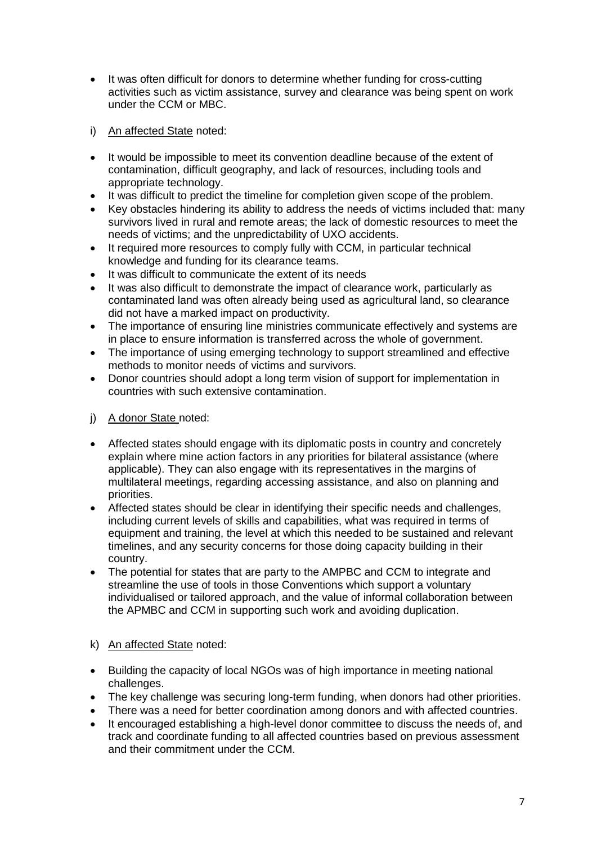- It was often difficult for donors to determine whether funding for cross-cutting activities such as victim assistance, survey and clearance was being spent on work under the CCM or MBC.
- i) An affected State noted:
- It would be impossible to meet its convention deadline because of the extent of contamination, difficult geography, and lack of resources, including tools and appropriate technology.
- It was difficult to predict the timeline for completion given scope of the problem.
- Key obstacles hindering its ability to address the needs of victims included that: many survivors lived in rural and remote areas; the lack of domestic resources to meet the needs of victims; and the unpredictability of UXO accidents.
- It required more resources to comply fully with CCM, in particular technical knowledge and funding for its clearance teams.
- It was difficult to communicate the extent of its needs
- It was also difficult to demonstrate the impact of clearance work, particularly as contaminated land was often already being used as agricultural land, so clearance did not have a marked impact on productivity.
- The importance of ensuring line ministries communicate effectively and systems are in place to ensure information is transferred across the whole of government.
- The importance of using emerging technology to support streamlined and effective methods to monitor needs of victims and survivors.
- Donor countries should adopt a long term vision of support for implementation in countries with such extensive contamination.
- j) A donor State noted:
- Affected states should engage with its diplomatic posts in country and concretely explain where mine action factors in any priorities for bilateral assistance (where applicable). They can also engage with its representatives in the margins of multilateral meetings, regarding accessing assistance, and also on planning and priorities.
- Affected states should be clear in identifying their specific needs and challenges, including current levels of skills and capabilities, what was required in terms of equipment and training, the level at which this needed to be sustained and relevant timelines, and any security concerns for those doing capacity building in their country.
- The potential for states that are party to the AMPBC and CCM to integrate and streamline the use of tools in those Conventions which support a voluntary individualised or tailored approach, and the value of informal collaboration between the APMBC and CCM in supporting such work and avoiding duplication.

#### k) An affected State noted:

- Building the capacity of local NGOs was of high importance in meeting national challenges.
- The key challenge was securing long-term funding, when donors had other priorities.
- There was a need for better coordination among donors and with affected countries.
- It encouraged establishing a high-level donor committee to discuss the needs of, and track and coordinate funding to all affected countries based on previous assessment and their commitment under the CCM.